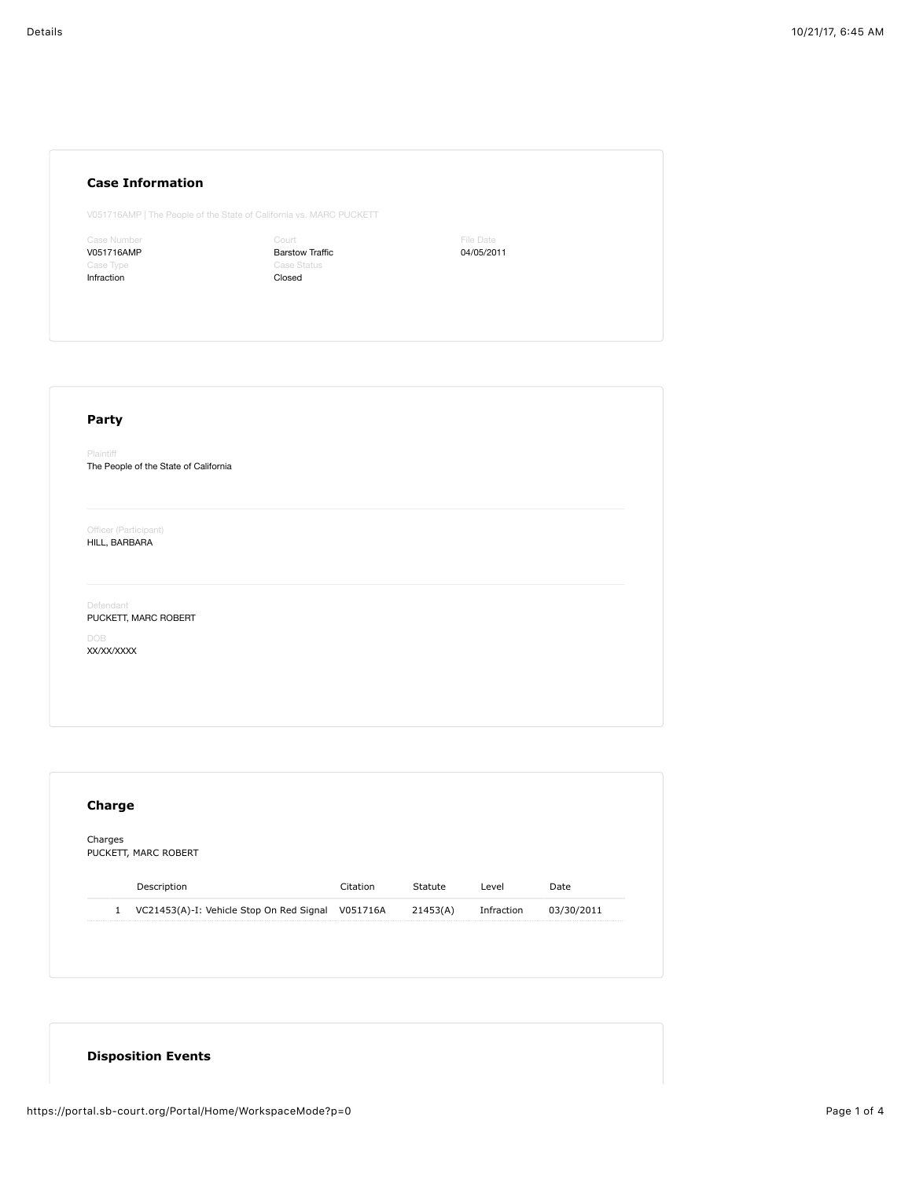| <b>Case Information</b> |  |
|-------------------------|--|
|                         |  |

V051716AMP | The People of the State of California vs. MARC PUCKETT

<sup>c</sup>ase Number V051716AMP Infraction

Court Barstow Traffic Case Status Closed

File Date 04/05/2011

## **Party** Plaintiff The People of the State of California Officer (Participant) HILL, BARBARA Defendant PUCKETT, MARC ROBERT DOB XX/XX/XXXX

| Charges      | PUCKETT, MARC ROBERT                              |          |          |            |            |
|--------------|---------------------------------------------------|----------|----------|------------|------------|
|              |                                                   |          |          |            |            |
|              | Description                                       | Citation | Statute  | Level      | Date       |
| $\mathbf{1}$ | VC21453(A)-I: Vehicle Stop On Red Signal V051716A |          | 21453(A) | Infraction | 03/30/2011 |

## **Disposition Events**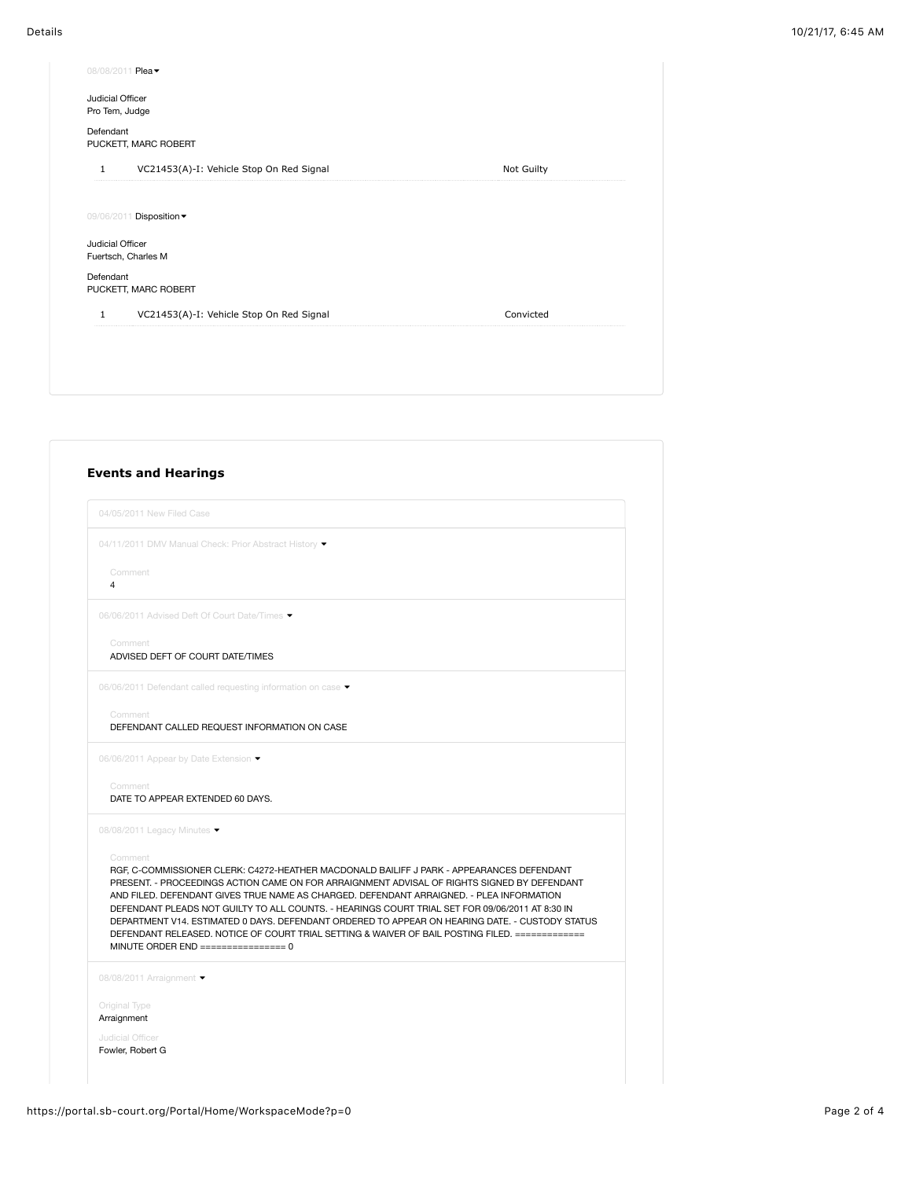| 08/08/2011 Plea -                                        |            |
|----------------------------------------------------------|------------|
| Judicial Officer<br>Pro Tem, Judge                       |            |
| Defendant<br>PUCKETT, MARC ROBERT                        |            |
| VC21453(A)-I: Vehicle Stop On Red Signal<br>$\mathbf{1}$ | Not Guilty |
|                                                          |            |
| 09/06/2011 Disposition -                                 |            |
| Judicial Officer                                         |            |
| Fuertsch, Charles M                                      |            |
| Defendant<br>PUCKETT, MARC ROBERT                        |            |
| VC21453(A)-I: Vehicle Stop On Red Signal<br>$\mathbf{1}$ | Convicted  |
|                                                          |            |
|                                                          |            |
|                                                          |            |

|                           | 04/05/2011 New Filed Case                                                                                                                                                                                                                                                                                                                                                                                                                                                                                                                                                                     |
|---------------------------|-----------------------------------------------------------------------------------------------------------------------------------------------------------------------------------------------------------------------------------------------------------------------------------------------------------------------------------------------------------------------------------------------------------------------------------------------------------------------------------------------------------------------------------------------------------------------------------------------|
|                           | 04/11/2011 DMV Manual Check: Prior Abstract History ▼                                                                                                                                                                                                                                                                                                                                                                                                                                                                                                                                         |
| Comment<br>$\overline{4}$ |                                                                                                                                                                                                                                                                                                                                                                                                                                                                                                                                                                                               |
|                           | 06/06/2011 Advised Deft Of Court Date/Times ▼                                                                                                                                                                                                                                                                                                                                                                                                                                                                                                                                                 |
| Comment                   | ADVISED DEFT OF COURT DATE/TIMES                                                                                                                                                                                                                                                                                                                                                                                                                                                                                                                                                              |
|                           | 06/06/2011 Defendant called requesting information on case                                                                                                                                                                                                                                                                                                                                                                                                                                                                                                                                    |
| Comment                   | DEFENDANT CALLED REQUEST INFORMATION ON CASE                                                                                                                                                                                                                                                                                                                                                                                                                                                                                                                                                  |
|                           | 06/06/2011 Appear by Date Extension ▼                                                                                                                                                                                                                                                                                                                                                                                                                                                                                                                                                         |
| Comment                   | DATE TO APPEAR EXTENDED 60 DAYS.                                                                                                                                                                                                                                                                                                                                                                                                                                                                                                                                                              |
|                           | 08/08/2011 Legacy Minutes                                                                                                                                                                                                                                                                                                                                                                                                                                                                                                                                                                     |
| Comment                   | RGF, C-COMMISSIONER CLERK: C4272-HEATHER MACDONALD BAILIFF J PARK - APPEARANCES DEFENDANT<br>PRESENT. - PROCEEDINGS ACTION CAME ON FOR ARRAIGNMENT ADVISAL OF RIGHTS SIGNED BY DEFENDANT<br>AND FILED. DEFENDANT GIVES TRUE NAME AS CHARGED. DEFENDANT ARRAIGNED. - PLEA INFORMATION<br>DEFENDANT PLEADS NOT GUILTY TO ALL COUNTS. - HEARINGS COURT TRIAL SET FOR 09/06/2011 AT 8:30 IN<br>DEPARTMENT V14, ESTIMATED 0 DAYS, DEFENDANT ORDERED TO APPEAR ON HEARING DATE, - CUSTODY STATUS<br>DEFENDANT RELEASED. NOTICE OF COURT TRIAL SETTING & WAIVER OF BAIL POSTING FILED. ============= |
|                           | 08/08/2011 Arraignment                                                                                                                                                                                                                                                                                                                                                                                                                                                                                                                                                                        |
| Original Type             | Arraignment                                                                                                                                                                                                                                                                                                                                                                                                                                                                                                                                                                                   |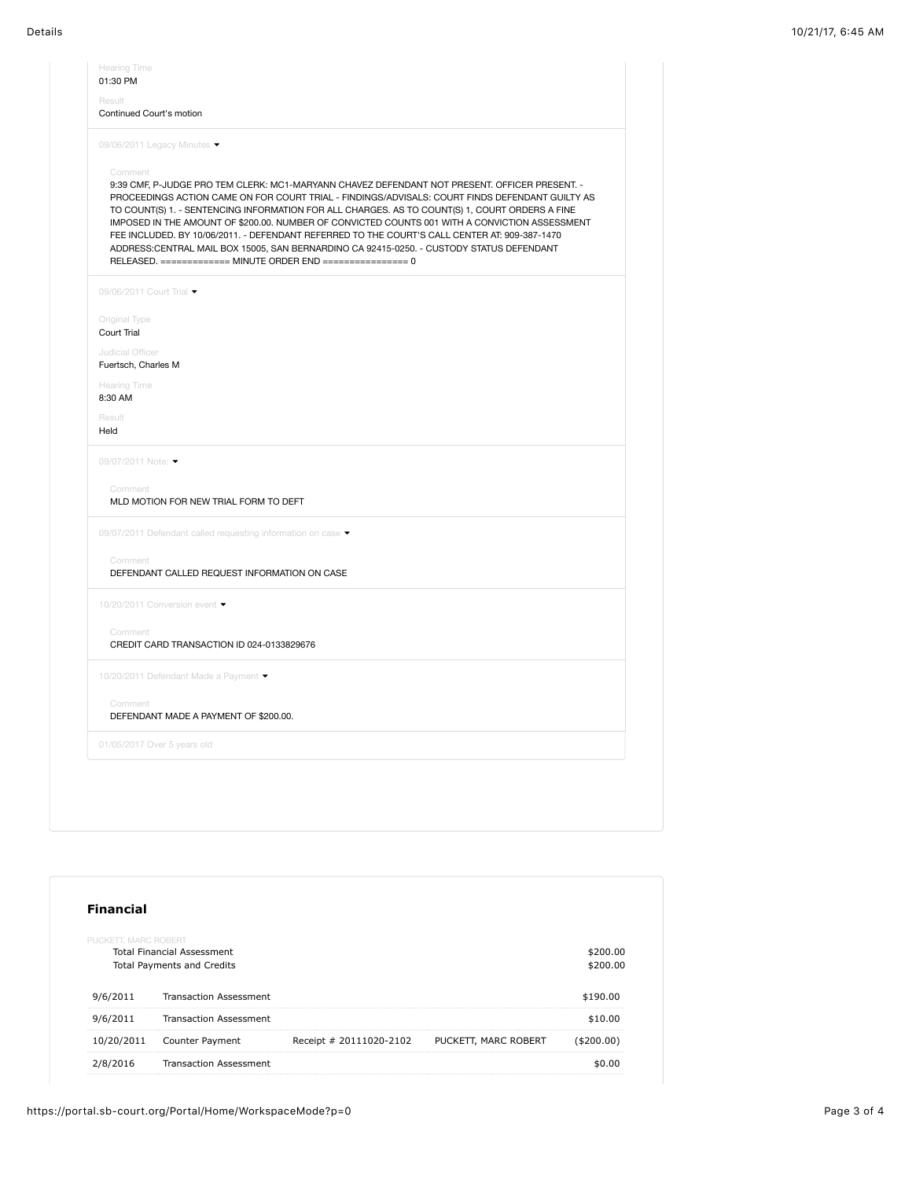| Result<br>Continued Court's motion                           |                                                                                                                                                                                                                                                                                                                                                                                                                                                                                                                                                                                                                                                                  |
|--------------------------------------------------------------|------------------------------------------------------------------------------------------------------------------------------------------------------------------------------------------------------------------------------------------------------------------------------------------------------------------------------------------------------------------------------------------------------------------------------------------------------------------------------------------------------------------------------------------------------------------------------------------------------------------------------------------------------------------|
| 09/06/2011 Legacy Minutes ▼                                  |                                                                                                                                                                                                                                                                                                                                                                                                                                                                                                                                                                                                                                                                  |
| Comment                                                      | 9:39 CMF, P-JUDGE PRO TEM CLERK: MC1-MARYANN CHAVEZ DEFENDANT NOT PRESENT. OFFICER PRESENT. -<br>PROCEEDINGS ACTION CAME ON FOR COURT TRIAL - FINDINGS/ADVISALS: COURT FINDS DEFENDANT GUILTY AS<br>TO COUNT(S) 1. - SENTENCING INFORMATION FOR ALL CHARGES. AS TO COUNT(S) 1, COURT ORDERS A FINE<br>IMPOSED IN THE AMOUNT OF \$200.00. NUMBER OF CONVICTED COUNTS 001 WITH A CONVICTION ASSESSMENT<br>FEE INCLUDED. BY 10/06/2011. - DEFENDANT REFERRED TO THE COURT'S CALL CENTER AT: 909-387-1470<br>ADDRESS:CENTRAL MAIL BOX 15005, SAN BERNARDINO CA 92415-0250. - CUSTODY STATUS DEFENDANT<br>RELEASED. ============= MINUTE ORDER END ================ 0 |
| 09/06/2011 Court Trial •                                     |                                                                                                                                                                                                                                                                                                                                                                                                                                                                                                                                                                                                                                                                  |
| Original Type<br>Court Trial                                 |                                                                                                                                                                                                                                                                                                                                                                                                                                                                                                                                                                                                                                                                  |
| Judicial Officer<br>Fuertsch, Charles M                      |                                                                                                                                                                                                                                                                                                                                                                                                                                                                                                                                                                                                                                                                  |
| Hearing Time<br>8:30 AM                                      |                                                                                                                                                                                                                                                                                                                                                                                                                                                                                                                                                                                                                                                                  |
| Result<br>Held                                               |                                                                                                                                                                                                                                                                                                                                                                                                                                                                                                                                                                                                                                                                  |
| 09/07/2011 Note: ▼                                           |                                                                                                                                                                                                                                                                                                                                                                                                                                                                                                                                                                                                                                                                  |
| Comment<br>MLD MOTION FOR NEW TRIAL FORM TO DEFT             |                                                                                                                                                                                                                                                                                                                                                                                                                                                                                                                                                                                                                                                                  |
| 09/07/2011 Defendant called requesting information on case ▼ |                                                                                                                                                                                                                                                                                                                                                                                                                                                                                                                                                                                                                                                                  |
| Comment<br>DEFENDANT CALLED REQUEST INFORMATION ON CASE      |                                                                                                                                                                                                                                                                                                                                                                                                                                                                                                                                                                                                                                                                  |
| 10/20/2011 Conversion event ▼                                |                                                                                                                                                                                                                                                                                                                                                                                                                                                                                                                                                                                                                                                                  |
| Comment<br>CREDIT CARD TRANSACTION ID 024-0133829676         |                                                                                                                                                                                                                                                                                                                                                                                                                                                                                                                                                                                                                                                                  |
| 10/20/2011 Defendant Made a Payment ▼                        |                                                                                                                                                                                                                                                                                                                                                                                                                                                                                                                                                                                                                                                                  |
| Comment<br>DEFENDANT MADE A PAYMENT OF \$200.00.             |                                                                                                                                                                                                                                                                                                                                                                                                                                                                                                                                                                                                                                                                  |
| 01/05/2017 Over 5 years old                                  |                                                                                                                                                                                                                                                                                                                                                                                                                                                                                                                                                                                                                                                                  |

| <b>Financial</b>     |                                                                        |                         |                      |                      |
|----------------------|------------------------------------------------------------------------|-------------------------|----------------------|----------------------|
| PUCKETT, MARC ROBERT | <b>Total Financial Assessment</b><br><b>Total Payments and Credits</b> |                         |                      | \$200.00<br>\$200.00 |
| 9/6/2011             | <b>Transaction Assessment</b>                                          |                         |                      | \$190.00             |
| 9/6/2011             | <b>Transaction Assessment</b>                                          |                         |                      | \$10.00              |
| 10/20/2011           | Counter Payment                                                        | Receipt # 20111020-2102 | PUCKETT, MARC ROBERT | ( \$200.00)          |
| 2/8/2016             | <b>Transaction Assessment</b>                                          |                         |                      | \$0.00               |